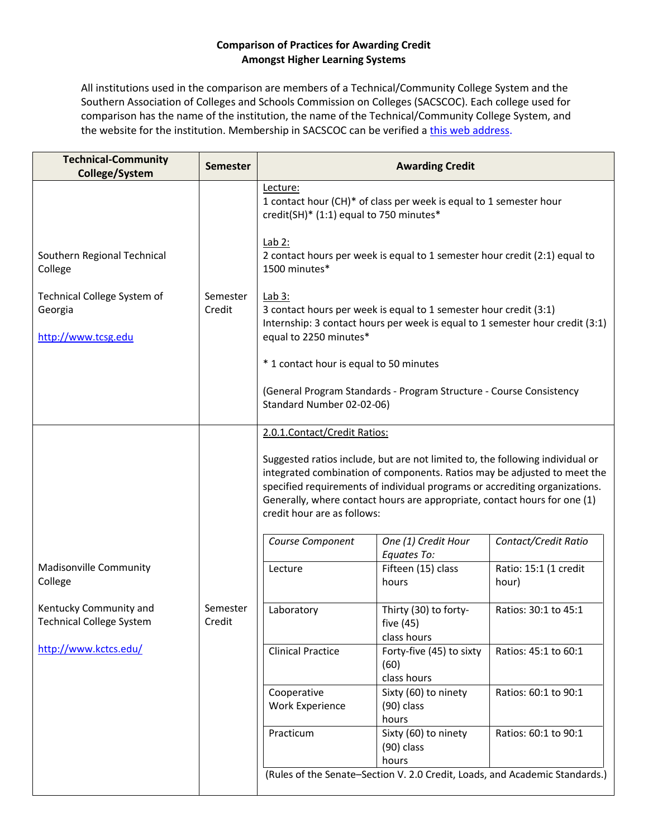## **Comparison of Practices for Awarding Credit Amongst Higher Learning Systems**

 Southern Association of Colleges and Schools Commission on Colleges (SACSCOC). Each college used for All institutions used in the comparison are members of a Technical/Community College System and the comparison has the name of the institution, the name of the Technical/Community College System, and the website for the institution. Membership in SACSCOC can be verified a [this web address.](http://www.sacscoc.org/membershipInfo.asp)

| <b>Technical-Community</b><br>College/System                  | <b>Semester</b>    | <b>Awarding Credit</b>                                                                                                                                                                                                                                                                                                                                                                                                                                   |                                                                            |                                                                               |
|---------------------------------------------------------------|--------------------|----------------------------------------------------------------------------------------------------------------------------------------------------------------------------------------------------------------------------------------------------------------------------------------------------------------------------------------------------------------------------------------------------------------------------------------------------------|----------------------------------------------------------------------------|-------------------------------------------------------------------------------|
|                                                               |                    | Lecture:<br>credit(SH)* (1:1) equal to 750 minutes*                                                                                                                                                                                                                                                                                                                                                                                                      | 1 contact hour (CH)* of class per week is equal to 1 semester hour         |                                                                               |
| Southern Regional Technical<br>College                        |                    | Lab $2:$<br>1500 minutes*                                                                                                                                                                                                                                                                                                                                                                                                                                | 2 contact hours per week is equal to 1 semester hour credit (2:1) equal to |                                                                               |
| Technical College System of<br>Georgia<br>http://www.tcsg.edu | Semester<br>Credit | Lab $3:$<br>equal to 2250 minutes*                                                                                                                                                                                                                                                                                                                                                                                                                       | 3 contact hours per week is equal to 1 semester hour credit (3:1)          | Internship: 3 contact hours per week is equal to 1 semester hour credit (3:1) |
|                                                               |                    | * 1 contact hour is equal to 50 minutes                                                                                                                                                                                                                                                                                                                                                                                                                  |                                                                            |                                                                               |
|                                                               |                    | Standard Number 02-02-06)                                                                                                                                                                                                                                                                                                                                                                                                                                | (General Program Standards - Program Structure - Course Consistency        |                                                                               |
|                                                               |                    | 2.0.1. Contact/Credit Ratios:<br>Suggested ratios include, but are not limited to, the following individual or<br>integrated combination of components. Ratios may be adjusted to meet the<br>specified requirements of individual programs or accrediting organizations.<br>Generally, where contact hours are appropriate, contact hours for one (1)<br>credit hour are as follows:<br>Contact/Credit Ratio<br>Course Component<br>One (1) Credit Hour |                                                                            |                                                                               |
| <b>Madisonville Community</b><br>College                      |                    | Lecture                                                                                                                                                                                                                                                                                                                                                                                                                                                  | Equates To:<br>Fifteen (15) class<br>hours                                 | Ratio: 15:1 (1 credit<br>hour)                                                |
| Kentucky Community and<br><b>Technical College System</b>     | Semester<br>Credit | Laboratory                                                                                                                                                                                                                                                                                                                                                                                                                                               | Thirty (30) to forty-<br>five (45)<br>class hours                          | Ratios: 30:1 to 45:1                                                          |
| http://www.kctcs.edu/                                         |                    | <b>Clinical Practice</b>                                                                                                                                                                                                                                                                                                                                                                                                                                 | Forty-five (45) to sixty<br>(60)<br>class hours                            | Ratios: 45:1 to 60:1                                                          |
|                                                               |                    | Cooperative<br><b>Work Experience</b>                                                                                                                                                                                                                                                                                                                                                                                                                    | Sixty (60) to ninety<br>$(90)$ class<br>hours                              | Ratios: 60:1 to 90:1                                                          |
|                                                               |                    | Practicum                                                                                                                                                                                                                                                                                                                                                                                                                                                | Sixty (60) to ninety<br>$(90)$ class<br>hours                              | Ratios: 60:1 to 90:1                                                          |
|                                                               |                    |                                                                                                                                                                                                                                                                                                                                                                                                                                                          |                                                                            | (Rules of the Senate-Section V. 2.0 Credit, Loads, and Academic Standards.)   |